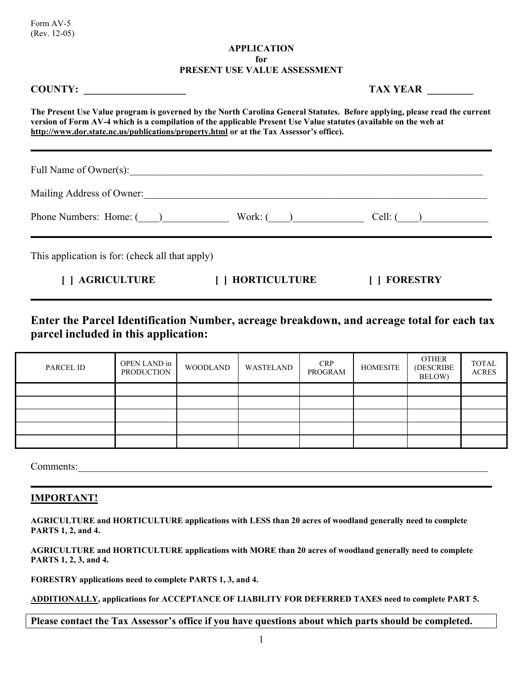Form AV-5 (Rev. 12-05)

#### **APPLICATION for PRESENT USE VALUE ASSESSMENT**

| COUNTY: $\qquad \qquad$                         |                                                                                                                                                                                                                                                                                                                                            | <b>TAX YEAR</b>                                                             |  |  |  |
|-------------------------------------------------|--------------------------------------------------------------------------------------------------------------------------------------------------------------------------------------------------------------------------------------------------------------------------------------------------------------------------------------------|-----------------------------------------------------------------------------|--|--|--|
|                                                 | The Present Use Value program is governed by the North Carolina General Statutes. Before applying, please read the current<br>version of Form AV-4 which is a compilation of the applicable Present Use Value statutes (available on the web at<br>http://www.dor.state.nc.us/publications/property.html or at the Tax Assessor's office). |                                                                             |  |  |  |
|                                                 | Full Name of Owner(s):                                                                                                                                                                                                                                                                                                                     |                                                                             |  |  |  |
|                                                 | Mailing Address of Owner:                                                                                                                                                                                                                                                                                                                  |                                                                             |  |  |  |
| Phone Numbers: Home: ()                         |                                                                                                                                                                                                                                                                                                                                            | Work: $\begin{pmatrix} \end{pmatrix}$ Cell: $\begin{pmatrix} \end{pmatrix}$ |  |  |  |
| This application is for: (check all that apply) |                                                                                                                                                                                                                                                                                                                                            |                                                                             |  |  |  |
| <b>AGRICULTURE</b>                              | [] HORTICULTURE                                                                                                                                                                                                                                                                                                                            | <b>FORESTRY</b>                                                             |  |  |  |

**Enter the Parcel Identification Number, acreage breakdown, and acreage total for each tax parcel included in this application:** 

| PARCEL ID | OPEN LAND in<br><b>PRODUCTION</b> | WOODLAND | WASTELAND | <b>CRP</b><br>PROGRAM | <b>HOMESITE</b> | <b>OTHER</b><br>(DESCRIBE<br>BELOW) | <b>TOTAL</b><br><b>ACRES</b> |
|-----------|-----------------------------------|----------|-----------|-----------------------|-----------------|-------------------------------------|------------------------------|
|           |                                   |          |           |                       |                 |                                     |                              |
|           |                                   |          |           |                       |                 |                                     |                              |
|           |                                   |          |           |                       |                 |                                     |                              |
|           |                                   |          |           |                       |                 |                                     |                              |
|           |                                   |          |           |                       |                 |                                     |                              |

Comments:

### **IMPORTANT!**

**AGRICULTURE and HORTICULTURE applications with LESS than 20 acres of woodland generally need to complete PARTS 1, 2, and 4.** 

**AGRICULTURE and HORTICULTURE applications with MORE than 20 acres of woodland generally need to complete PARTS 1, 2, 3, and 4.** 

**FORESTRY applications need to complete PARTS 1, 3, and 4.** 

**ADDITIONALLY, applications for ACCEPTANCE OF LIABILITY FOR DEFERRED TAXES need to complete PART 5.**

**Please contact the Tax Assessor's office if you have questions about which parts should be completed.**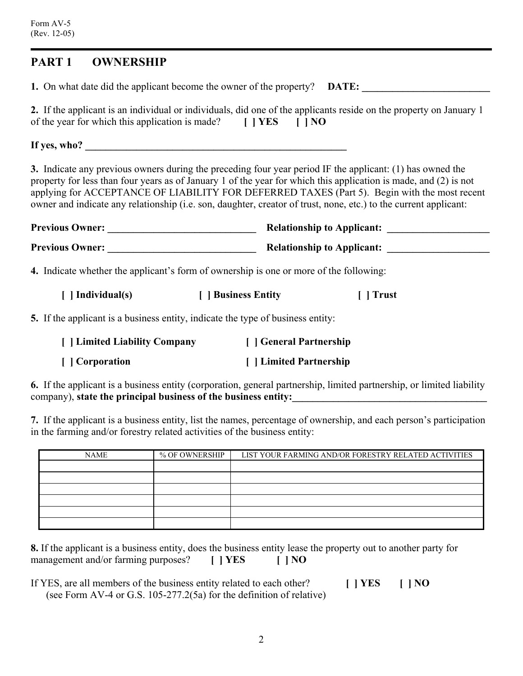# **PART 1 OWNERSHIP**

|                                                                                                                                                                                                                                                                 | 1. On what date did the applicant become the owner of the property? DATE: __________________________                                                                                                                                                                                                                                                                                                                                              |  |  |  |  |
|-----------------------------------------------------------------------------------------------------------------------------------------------------------------------------------------------------------------------------------------------------------------|---------------------------------------------------------------------------------------------------------------------------------------------------------------------------------------------------------------------------------------------------------------------------------------------------------------------------------------------------------------------------------------------------------------------------------------------------|--|--|--|--|
| 2. If the applicant is an individual or individuals, did one of the applicants reside on the property on January 1<br>of the year for which this application is made? $[   \text{YES}   ] \text{NO}$                                                            |                                                                                                                                                                                                                                                                                                                                                                                                                                                   |  |  |  |  |
|                                                                                                                                                                                                                                                                 |                                                                                                                                                                                                                                                                                                                                                                                                                                                   |  |  |  |  |
|                                                                                                                                                                                                                                                                 | 3. Indicate any previous owners during the preceding four year period IF the applicant: (1) has owned the<br>property for less than four years as of January 1 of the year for which this application is made, and (2) is not<br>applying for ACCEPTANCE OF LIABILITY FOR DEFERRED TAXES (Part 5). Begin with the most recent<br>owner and indicate any relationship (i.e. son, daughter, creator of trust, none, etc.) to the current applicant: |  |  |  |  |
|                                                                                                                                                                                                                                                                 |                                                                                                                                                                                                                                                                                                                                                                                                                                                   |  |  |  |  |
|                                                                                                                                                                                                                                                                 |                                                                                                                                                                                                                                                                                                                                                                                                                                                   |  |  |  |  |
| 4. Indicate whether the applicant's form of ownership is one or more of the following:                                                                                                                                                                          |                                                                                                                                                                                                                                                                                                                                                                                                                                                   |  |  |  |  |
| [ ] Individual(s) [ ] Business Entity                                                                                                                                                                                                                           | [ ] Trust                                                                                                                                                                                                                                                                                                                                                                                                                                         |  |  |  |  |
| 5. If the applicant is a business entity, indicate the type of business entity:                                                                                                                                                                                 |                                                                                                                                                                                                                                                                                                                                                                                                                                                   |  |  |  |  |
| [ ] Limited Liability Company [ ] General Partnership                                                                                                                                                                                                           |                                                                                                                                                                                                                                                                                                                                                                                                                                                   |  |  |  |  |
| [ ] Corporation                                                                                                                                                                                                                                                 | [ ] Limited Partnership                                                                                                                                                                                                                                                                                                                                                                                                                           |  |  |  |  |
| 6. If the applicant is a business entity (corporation, general partnership, limited partnership, or limited liability<br>company), state the principal business of the business entity:<br><u>Lettischer and the principal business of the business entity:</u> |                                                                                                                                                                                                                                                                                                                                                                                                                                                   |  |  |  |  |
| 7. If the applicant is a business entity, list the names, percentage of ownership, and each person's participation<br>in the farming and/or forestry related activities of the business entity:                                                                 |                                                                                                                                                                                                                                                                                                                                                                                                                                                   |  |  |  |  |

| <b>NAME</b> | % OF OWNERSHIP | LIST YOUR FARMING AND/OR FORESTRY RELATED ACTIVITIES |
|-------------|----------------|------------------------------------------------------|
|             |                |                                                      |
|             |                |                                                      |
|             |                |                                                      |
|             |                |                                                      |
|             |                |                                                      |
|             |                |                                                      |

| 8. If the applicant is a business entity, does the business entity lease the property out to another party for |               |                                              |  |
|----------------------------------------------------------------------------------------------------------------|---------------|----------------------------------------------|--|
| management and/or farming purposes?                                                                            | <b>I</b> PYES | $\blacksquare$ $\blacksquare$ $\blacksquare$ |  |

| If YES, are all members of the business entity related to each other?  | $\blacksquare$ $\blacksquare$ | $\vert$   NO |
|------------------------------------------------------------------------|-------------------------------|--------------|
| (see Form AV-4 or G.S. $105-277.2(5a)$ for the definition of relative) |                               |              |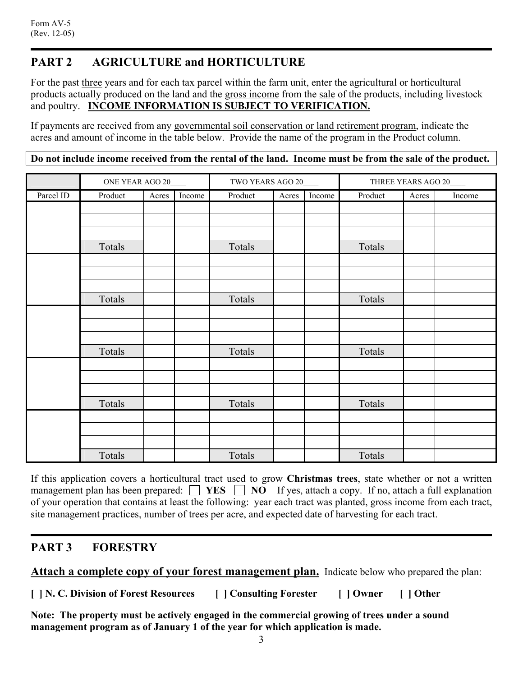# **PART 2 AGRICULTURE and HORTICULTURE**

For the past three years and for each tax parcel within the farm unit, enter the agricultural or horticultural products actually produced on the land and the gross income from the sale of the products, including livestock and poultry. **INCOME INFORMATION IS SUBJECT TO VERIFICATION.**

If payments are received from any governmental soil conservation or land retirement program, indicate the acres and amount of income in the table below. Provide the name of the program in the Product column.

**Do not include income received from the rental of the land. Income must be from the sale of the product.** 

|           | ONE YEAR AGO 20_ |       |        | TWO YEARS AGO 20 |       |        |         | THREE YEARS AGO 20 |        |
|-----------|------------------|-------|--------|------------------|-------|--------|---------|--------------------|--------|
| Parcel ID | Product          | Acres | Income | Product          | Acres | Income | Product | Acres              | Income |
|           |                  |       |        |                  |       |        |         |                    |        |
|           |                  |       |        |                  |       |        |         |                    |        |
|           |                  |       |        |                  |       |        |         |                    |        |
|           | Totals           |       |        | Totals           |       |        | Totals  |                    |        |
|           |                  |       |        |                  |       |        |         |                    |        |
|           |                  |       |        |                  |       |        |         |                    |        |
|           |                  |       |        |                  |       |        |         |                    |        |
|           | Totals           |       |        | Totals           |       |        | Totals  |                    |        |
|           |                  |       |        |                  |       |        |         |                    |        |
|           |                  |       |        |                  |       |        |         |                    |        |
|           |                  |       |        |                  |       |        |         |                    |        |
|           | Totals           |       |        | Totals           |       |        | Totals  |                    |        |
|           |                  |       |        |                  |       |        |         |                    |        |
|           |                  |       |        |                  |       |        |         |                    |        |
|           |                  |       |        |                  |       |        |         |                    |        |
|           | Totals           |       |        | Totals           |       |        | Totals  |                    |        |
|           |                  |       |        |                  |       |        |         |                    |        |
|           |                  |       |        |                  |       |        |         |                    |        |
|           |                  |       |        |                  |       |        |         |                    |        |
|           | Totals           |       |        | Totals           |       |        | Totals  |                    |        |

If this application covers a horticultural tract used to grow **Christmas trees**, state whether or not a written management plan has been prepared:  $\Box$  **YES**  $\Box$  **NO** If yes, attach a copy. If no, attach a full explanation of your operation that contains at least the following: year each tract was planted, gross income from each tract, site management practices, number of trees per acre, and expected date of harvesting for each tract.

### **PART 3 FORESTRY**

**Attach a complete copy of your forest management plan.** Indicate below who prepared the plan:

**[ ] N. C. Division of Forest Resources [ ] Consulting Forester [ ] Owner [ ] Other** 

**Note: The property must be actively engaged in the commercial growing of trees under a sound management program as of January 1 of the year for which application is made.**